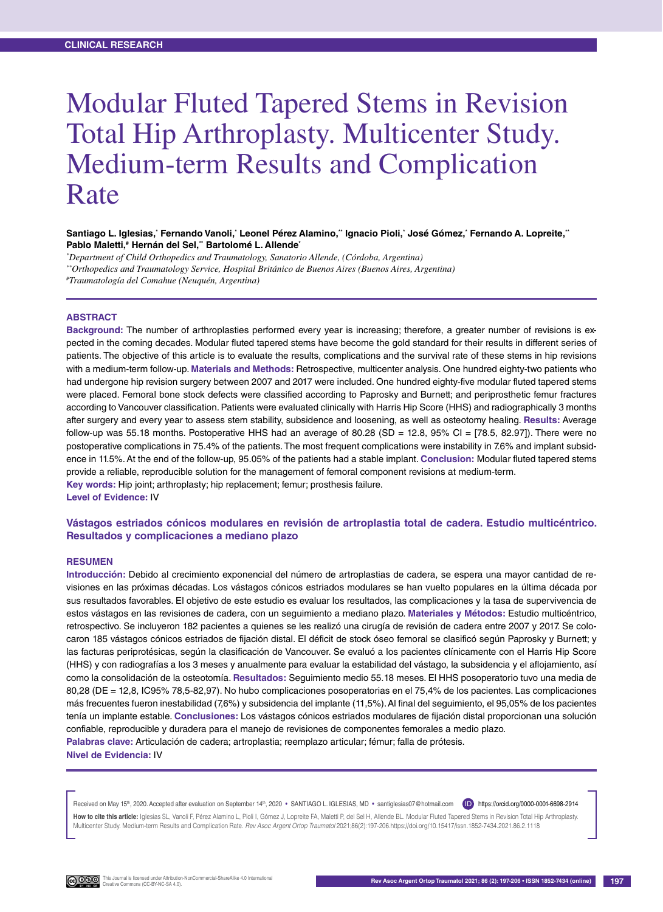# Modular Fluted Tapered Stems in Revision Total Hip Arthroplasty. Multicenter Study. Medium-term Results and Complication Rate

#### Santiago L. Iglesias,<sup>•</sup> Fernando Vanoli,<sup>•</sup> Leonel Pérez Alamino,¨ Ignacio Pioli,˙ José Gómez,˙ Fernando A. Lopreite,¨ **Pablo Maletti,# Hernán del Sel,\*\* Bartolomé L. Allende\***

*\* Department of Child Orthopedics and Traumatology, Sanatorio Allende, (Córdoba, Argentina)*

*\*\*Orthopedics and Traumatology Service, Hospital Británico de Buenos Aires (Buenos Aires, Argentina)*

*# Traumatología del Comahue (Neuquén, Argentina)*

#### **Abstract**

**Background:** The number of arthroplasties performed every year is increasing; therefore, a greater number of revisions is expected in the coming decades. Modular fluted tapered stems have become the gold standard for their results in different series of patients. The objective of this article is to evaluate the results, complications and the survival rate of these stems in hip revisions with a medium-term follow-up. **Materials and Methods:** Retrospective, multicenter analysis. One hundred eighty-two patients who had undergone hip revision surgery between 2007 and 2017 were included. One hundred eighty-five modular fluted tapered stems were placed. Femoral bone stock defects were classified according to Paprosky and Burnett; and periprosthetic femur fractures according to Vancouver classification. Patients were evaluated clinically with Harris Hip Score (HHS) and radiographically 3 months after surgery and every year to assess stem stability, subsidence and loosening, as well as osteotomy healing. **Results:** Average follow-up was 55.18 months. Postoperative HHS had an average of 80.28 (SD = 12.8, 95% CI =  $[78.5, 82.97]$ ). There were no postoperative complications in 75.4% of the patients. The most frequent complications were instability in 7.6% and implant subsidence in 11.5%. At the end of the follow-up, 95.05% of the patients had a stable implant. **Conclusion:** Modular fluted tapered stems provide a reliable, reproducible solution for the management of femoral component revisions at medium-term. **Key words:** Hip joint; arthroplasty; hip replacement; femur; prosthesis failure.

**Level of Evidence:** IV

## **Vástagos estriados cónicos modulares en revisión de artroplastia total de cadera. Estudio multicéntrico. Resultados y complicaciones a mediano plazo**

#### **Resumen**

**Introducción:** Debido al crecimiento exponencial del número de artroplastias de cadera, se espera una mayor cantidad de revisiones en las próximas décadas. Los vástagos cónicos estriados modulares se han vuelto populares en la última década por sus resultados favorables. El objetivo de este estudio es evaluar los resultados, las complicaciones y la tasa de supervivencia de estos vástagos en las revisiones de cadera, con un seguimiento a mediano plazo. **Materiales y Métodos:** Estudio multicéntrico, retrospectivo. Se incluyeron 182 pacientes a quienes se les realizó una cirugía de revisión de cadera entre 2007 y 2017. Se colocaron 185 vástagos cónicos estriados de fijación distal. El déficit de stock óseo femoral se clasificó según Paprosky y Burnett; y las facturas periprotésicas, según la clasificación de Vancouver. Se evaluó a los pacientes clínicamente con el Harris Hip Score (HHS) y con radiografías a los 3 meses y anualmente para evaluar la estabilidad del vástago, la subsidencia y el aflojamiento, así como la consolidación de la osteotomía. **Resultados:** Seguimiento medio 55.18 meses. El HHS posoperatorio tuvo una media de 80,28 (DE = 12,8, IC95% 78,5-82,97). No hubo complicaciones posoperatorias en el 75,4% de los pacientes. Las complicaciones más frecuentes fueron inestabilidad (7,6%) y subsidencia del implante (11,5%). Al final del seguimiento, el 95,05% de los pacientes tenía un implante estable. **Conclusiones:** Los vástagos cónicos estriados modulares de fijación distal proporcionan una solución confiable, reproducible y duradera para el manejo de revisiones de componentes femorales a medio plazo. **Palabras clave:** Articulación de cadera; artroplastia; reemplazo articular; fémur; falla de prótesis. **Nivel de Evidencia:** IV

Received on May 15<sup>th</sup>, 2020. Accepted after evaluation on September 14<sup>th</sup>, 2020 • SANTIAGO L. IGLESIAS, MD • santiglesias07@hotmail.com (ID) https://orcid.org/0000-0001-6698-2914 How to cite this article: Iglesias SL, Vanoli F, Pérez Alamino L, Pioli I, Gómez J, Lopreite FA, Maletti P, del Sel H, Allende BL, Modular Fluted Tapered Stems in Revision Total Hip Arthroplasty Multicenter Study. Medium-term Results and Complication Rate. *Rev Asoc Argent Ortop Traumatol* 2021;86(2):197-206.https://doi.org/10.15417/issn.1852-7434.2021.86.2.1118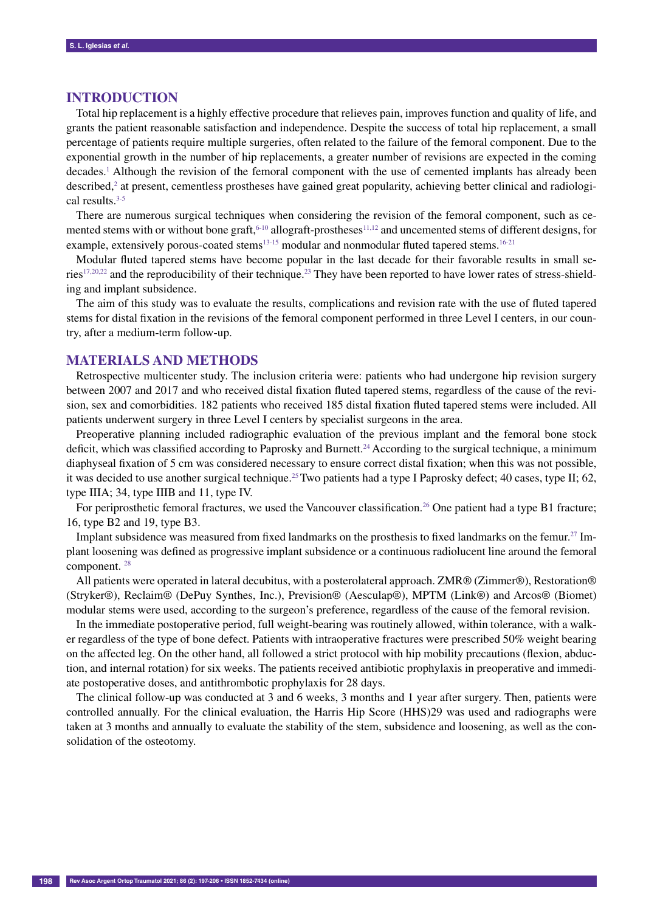# **Introduction**

Total hip replacement is a highly effective procedure that relieves pain, improves function and quality of life, and grants the patient reasonable satisfaction and independence. Despite the success of total hip replacement, a small percentage of patients require multiple surgeries, often related to the failure of the femoral component. Due to the exponential growth in the number of hip replacements, a greater number of revisions are expected in the coming decades.<sup>1</sup> Although the revision of the femoral component with the use of cemented implants has already been described,<sup>2</sup> at present, cementless prostheses have gained great popularity, achieving better clinical and radiological results.3-5

There are numerous surgical techniques when considering the revision of the femoral component, such as cemented stems with or without bone graft,  $6-10$  allograft-prostheses<sup>11,12</sup> and uncemented stems of different designs, for example, extensively porous-coated stems $13-15$  modular and nonmodular fluted tapered stems.  $16-21$ 

Modular fluted tapered stems have become popular in the last decade for their favorable results in small series<sup>17,20,22</sup> and the reproducibility of their technique.<sup>23</sup> They have been reported to have lower rates of stress-shielding and implant subsidence.

The aim of this study was to evaluate the results, complications and revision rate with the use of fluted tapered stems for distal fixation in the revisions of the femoral component performed in three Level I centers, in our country, after a medium-term follow-up.

## **Materials and methods**

Retrospective multicenter study. The inclusion criteria were: patients who had undergone hip revision surgery between 2007 and 2017 and who received distal fixation fluted tapered stems, regardless of the cause of the revision, sex and comorbidities. 182 patients who received 185 distal fixation fluted tapered stems were included. All patients underwent surgery in three Level I centers by specialist surgeons in the area.

Preoperative planning included radiographic evaluation of the previous implant and the femoral bone stock deficit, which was classified according to Paprosky and Burnett.<sup>24</sup> According to the surgical technique, a minimum diaphyseal fixation of 5 cm was considered necessary to ensure correct distal fixation; when this was not possible, it was decided to use another surgical technique.<sup>25</sup> Two patients had a type I Paprosky defect; 40 cases, type II; 62, type IIIA; 34, type IIIB and 11, type IV.

For periprosthetic femoral fractures, we used the Vancouver classification.<sup>26</sup> One patient had a type B1 fracture; 16, type B2 and 19, type B3.

Implant subsidence was measured from fixed landmarks on the prosthesis to fixed landmarks on the femur.<sup>27</sup> Implant loosening was defined as progressive implant subsidence or a continuous radiolucent line around the femoral component. 28

All patients were operated in lateral decubitus, with a posterolateral approach. ZMR® (Zimmer®), Restoration® (Stryker®), Reclaim® (DePuy Synthes, Inc.), Prevision® (Aesculap®), MPTM (Link®) and Arcos® (Biomet) modular stems were used, according to the surgeon's preference, regardless of the cause of the femoral revision.

In the immediate postoperative period, full weight-bearing was routinely allowed, within tolerance, with a walker regardless of the type of bone defect. Patients with intraoperative fractures were prescribed 50% weight bearing on the affected leg. On the other hand, all followed a strict protocol with hip mobility precautions (flexion, abduction, and internal rotation) for six weeks. The patients received antibiotic prophylaxis in preoperative and immediate postoperative doses, and antithrombotic prophylaxis for 28 days.

The clinical follow-up was conducted at 3 and 6 weeks, 3 months and 1 year after surgery. Then, patients were controlled annually. For the clinical evaluation, the Harris Hip Score (HHS)29 was used and radiographs were taken at 3 months and annually to evaluate the stability of the stem, subsidence and loosening, as well as the consolidation of the osteotomy.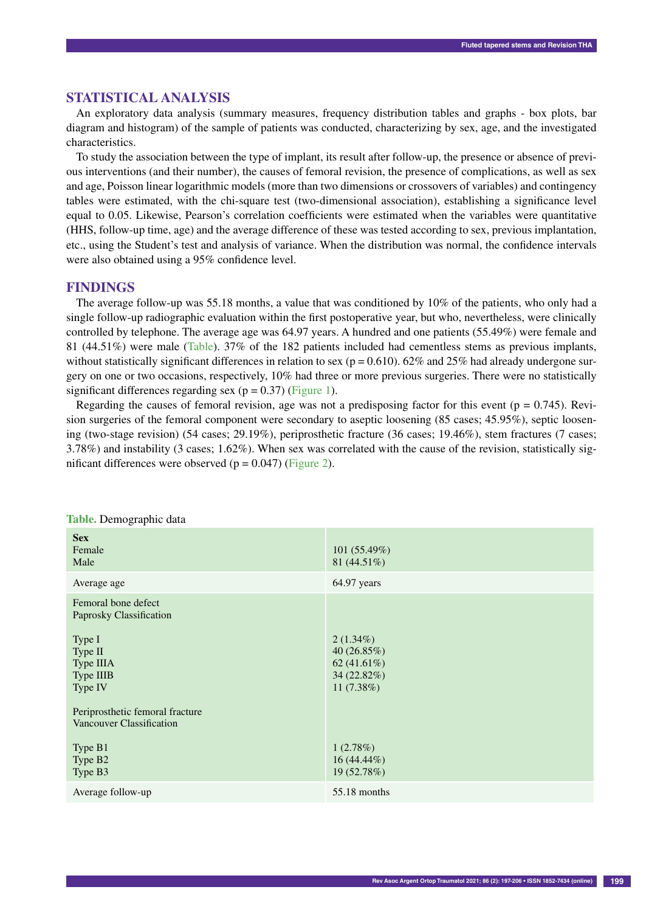## **Statistical analysis**

An exploratory data analysis (summary measures, frequency distribution tables and graphs - box plots, bar diagram and histogram) of the sample of patients was conducted, characterizing by sex, age, and the investigated characteristics.

To study the association between the type of implant, its result after follow-up, the presence or absence of previous interventions (and their number), the causes of femoral revision, the presence of complications, as well as sex and age, Poisson linear logarithmic models (more than two dimensions or crossovers of variables) and contingency tables were estimated, with the chi-square test (two-dimensional association), establishing a significance level equal to 0.05. Likewise, Pearson's correlation coefficients were estimated when the variables were quantitative (HHS, follow-up time, age) and the average difference of these was tested according to sex, previous implantation, etc., using the Student's test and analysis of variance. When the distribution was normal, the confidence intervals were also obtained using a 95% confidence level.

## **Findings**

The average follow-up was 55.18 months, a value that was conditioned by 10% of the patients, who only had a single follow-up radiographic evaluation within the first postoperative year, but who, nevertheless, were clinically controlled by telephone. The average age was 64.97 years. A hundred and one patients (55.49%) were female and 81 (44.51%) were male (Table). 37% of the 182 patients included had cementless stems as previous implants, without statistically significant differences in relation to sex ( $p = 0.610$ ). 62% and 25% had already undergone surgery on one or two occasions, respectively, 10% had three or more previous surgeries. There were no statistically significant differences regarding sex ( $p = 0.37$ ) (Figure 1).

Regarding the causes of femoral revision, age was not a predisposing factor for this event ( $p = 0.745$ ). Revision surgeries of the femoral component were secondary to aseptic loosening (85 cases; 45.95%), septic loosening (two-stage revision) (54 cases; 29.19%), periprosthetic fracture (36 cases; 19.46%), stem fractures (7 cases; 3.78%) and instability (3 cases; 1.62%). When sex was correlated with the cause of the revision, statistically significant differences were observed  $(p = 0.047)$  (Figure 2).

| <b>Sex</b><br>Female<br>Male                                                                             | 101(55.49%)<br>81 $(44.51\%)$                                                   |
|----------------------------------------------------------------------------------------------------------|---------------------------------------------------------------------------------|
| Average age                                                                                              | 64.97 years                                                                     |
| Femoral bone defect<br>Paprosky Classification<br>Type I<br>Type II<br>Type IIIA<br>Type IIIB<br>Type IV | $2(1.34\%)$<br>40 $(26.85\%)$<br>62 $(41.61\%)$<br>34 (22.82%)<br>11 $(7.38\%)$ |
| Periprosthetic femoral fracture<br>Vancouver Classification<br>Type B1<br>Type B <sub>2</sub><br>Type B3 | 1(2.78%)<br>$16(44.44\%)$<br>19 (52.78%)                                        |
| Average follow-up                                                                                        | 55.18 months                                                                    |

**Table.** Demographic data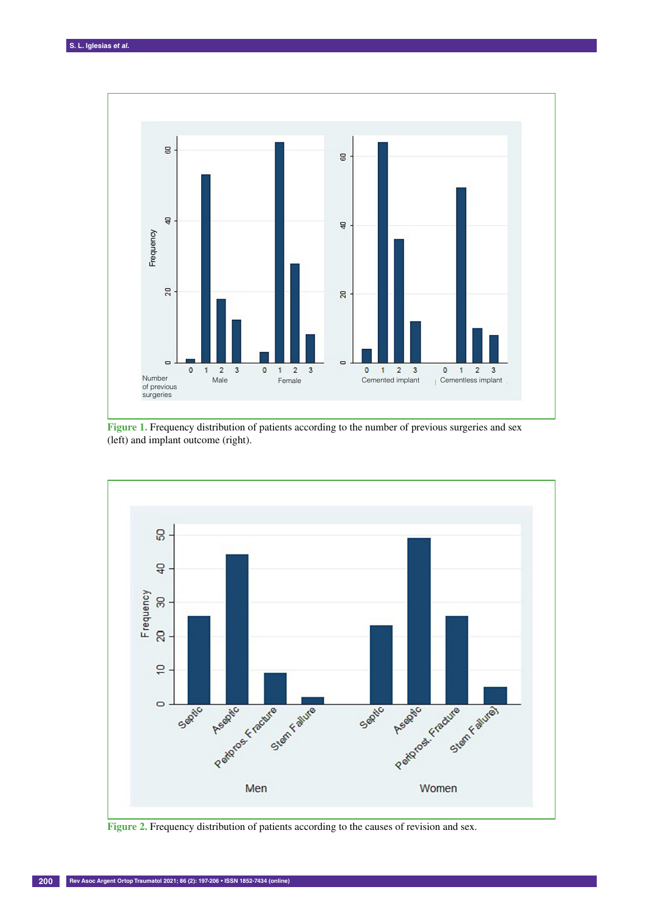

**Figure 1.** Frequency distribution of patients according to the number of previous surgeries and sex (left) and implant outcome (right).

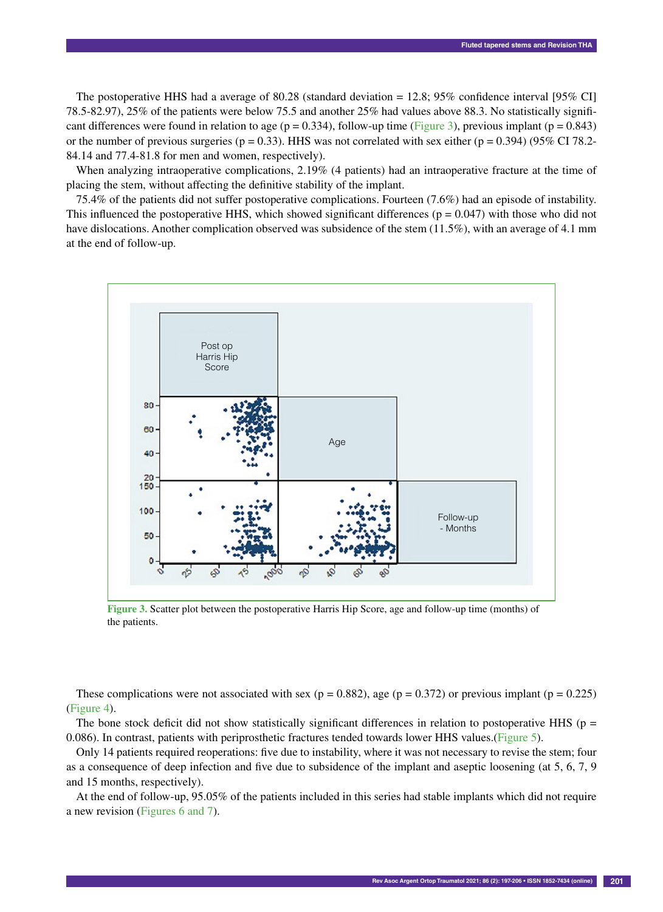The postoperative HHS had a average of 80.28 (standard deviation = 12.8; 95% confidence interval [95% CI] 78.5-82.97), 25% of the patients were below 75.5 and another 25% had values above 88.3. No statistically significant differences were found in relation to age ( $p = 0.334$ ), follow-up time (Figure 3), previous implant ( $p = 0.843$ ) or the number of previous surgeries ( $p = 0.33$ ). HHS was not correlated with sex either ( $p = 0.394$ ) (95% CI 78.2-84.14 and 77.4-81.8 for men and women, respectively).

When analyzing intraoperative complications, 2.19% (4 patients) had an intraoperative fracture at the time of placing the stem, without affecting the definitive stability of the implant.

75.4% of the patients did not suffer postoperative complications. Fourteen (7.6%) had an episode of instability. This influenced the postoperative HHS, which showed significant differences ( $p = 0.047$ ) with those who did not have dislocations. Another complication observed was subsidence of the stem (11.5%), with an average of 4.1 mm at the end of follow-up.



**Figure 3.** Scatter plot between the postoperative Harris Hip Score, age and follow-up time (months) of the patients.

These complications were not associated with sex ( $p = 0.882$ ), age ( $p = 0.372$ ) or previous implant ( $p = 0.225$ ) (Figure 4).

The bone stock deficit did not show statistically significant differences in relation to postoperative HHS ( $p =$ 0.086). In contrast, patients with periprosthetic fractures tended towards lower HHS values.(Figure 5).

Only 14 patients required reoperations: five due to instability, where it was not necessary to revise the stem; four as a consequence of deep infection and five due to subsidence of the implant and aseptic loosening (at 5, 6, 7, 9 and 15 months, respectively).

At the end of follow-up, 95.05% of the patients included in this series had stable implants which did not require a new revision (Figures 6 and 7).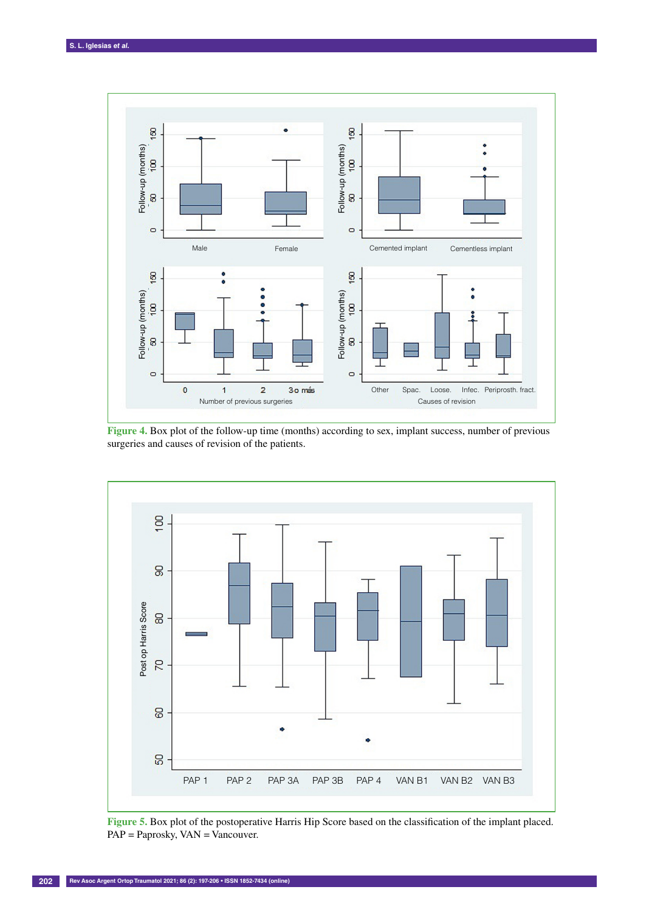

**Figure 4.** Box plot of the follow-up time (months) according to sex, implant success, number of previous surgeries and causes of revision of the patients.



**Figure 5.** Box plot of the postoperative Harris Hip Score based on the classification of the implant placed.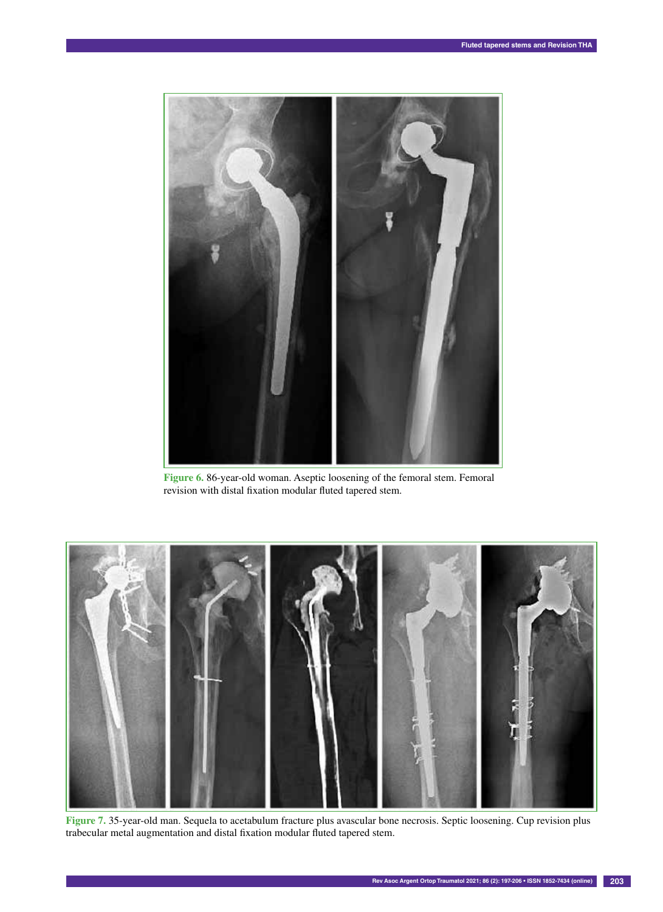

**Figure 6.** 86-year-old woman. Aseptic loosening of the femoral stem. Femoral revision with distal fixation modular fluted tapered stem.



**Figure 7.** 35-year-old man. Sequela to acetabulum fracture plus avascular bone necrosis. Septic loosening. Cup revision plus trabecular metal augmentation and distal fixation modular fluted tapered stem.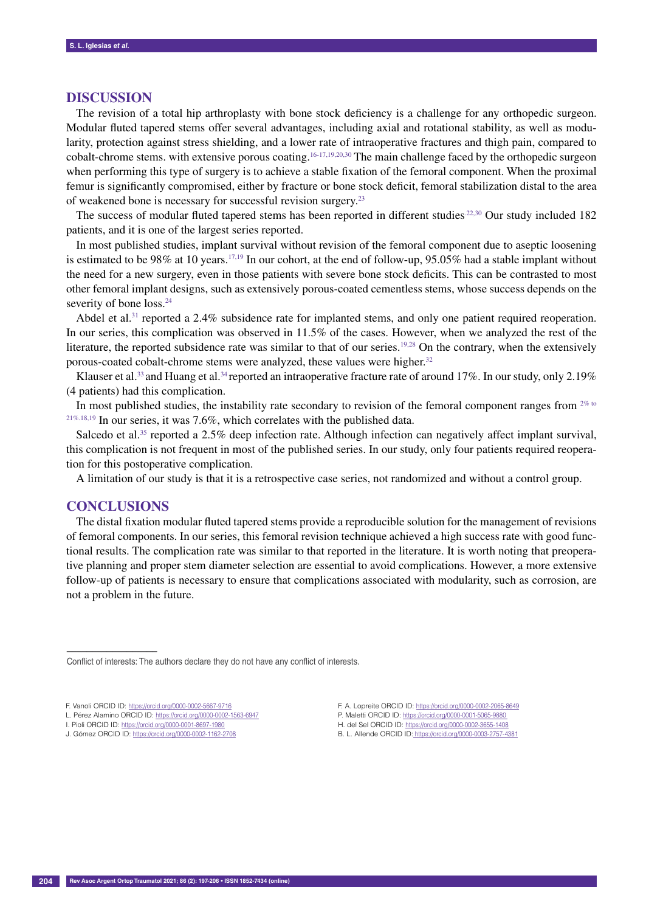## **Discussion**

The revision of a total hip arthroplasty with bone stock deficiency is a challenge for any orthopedic surgeon. Modular fluted tapered stems offer several advantages, including axial and rotational stability, as well as modularity, protection against stress shielding, and a lower rate of intraoperative fractures and thigh pain, compared to cobalt-chrome stems. with extensive porous coating.<sup>16-17,19,20,30</sup> The main challenge faced by the orthopedic surgeon when performing this type of surgery is to achieve a stable fixation of the femoral component. When the proximal femur is significantly compromised, either by fracture or bone stock deficit, femoral stabilization distal to the area of weakened bone is necessary for successful revision surgery.23

The success of modular fluted tapered stems has been reported in different studies.<sup>22,30</sup> Our study included 182 patients, and it is one of the largest series reported.

In most published studies, implant survival without revision of the femoral component due to aseptic loosening is estimated to be 98% at 10 years.<sup>17,19</sup> In our cohort, at the end of follow-up, 95.05% had a stable implant without the need for a new surgery, even in those patients with severe bone stock deficits. This can be contrasted to most other femoral implant designs, such as extensively porous-coated cementless stems, whose success depends on the severity of bone loss.<sup>24</sup>

Abdel et al.<sup>31</sup> reported a 2.4% subsidence rate for implanted stems, and only one patient required reoperation. In our series, this complication was observed in 11.5% of the cases. However, when we analyzed the rest of the literature, the reported subsidence rate was similar to that of our series.<sup>19,28</sup> On the contrary, when the extensively porous-coated cobalt-chrome stems were analyzed, these values were higher.<sup>32</sup>

Klauser et al.<sup>33</sup> and Huang et al.<sup>34</sup> reported an intraoperative fracture rate of around 17%. In our study, only 2.19% (4 patients) had this complication.

In most published studies, the instability rate secondary to revision of the femoral component ranges from  $2\%$  to 21%.18,19 In our series, it was 7.6%, which correlates with the published data.

Salcedo et al.<sup>35</sup> reported a 2.5% deep infection rate. Although infection can negatively affect implant survival, this complication is not frequent in most of the published series. In our study, only four patients required reoperation for this postoperative complication.

A limitation of our study is that it is a retrospective case series, not randomized and without a control group.

## **Conclusions**

––––––––––––––––––

The distal fixation modular fluted tapered stems provide a reproducible solution for the management of revisions of femoral components. In our series, this femoral revision technique achieved a high success rate with good functional results. The complication rate was similar to that reported in the literature. It is worth noting that preoperative planning and proper stem diameter selection are essential to avoid complications. However, a more extensive follow-up of patients is necessary to ensure that complications associated with modularity, such as corrosion, are not a problem in the future.

Conflict of interests: The authors declare they do not have any conflict of interests.

F. Vanoli ORCID ID: https://orcid.org/0000-0002-5667-9716

L. Pérez Alamino ORCID ID: https://orcid.org/0000-0002-1563-6947

I. Pioli ORCID ID: https://orcid.org/0000-0001-8697-1980

J. Gómez ORCID ID: https://orcid.org/0000-0002-1162-2708

F. A. Lopreite ORCID ID: https://orcid.org/0000-0002-2065-8649 P. Maletti ORCID ID: https://orcid.org/0000-0001-5065-9880 H. del Sel ORCID ID: https://orcid.org/0000-0002-3655-1408 B. L. Allende ORCID ID: https://orcid.org/0000-0003-2757-4381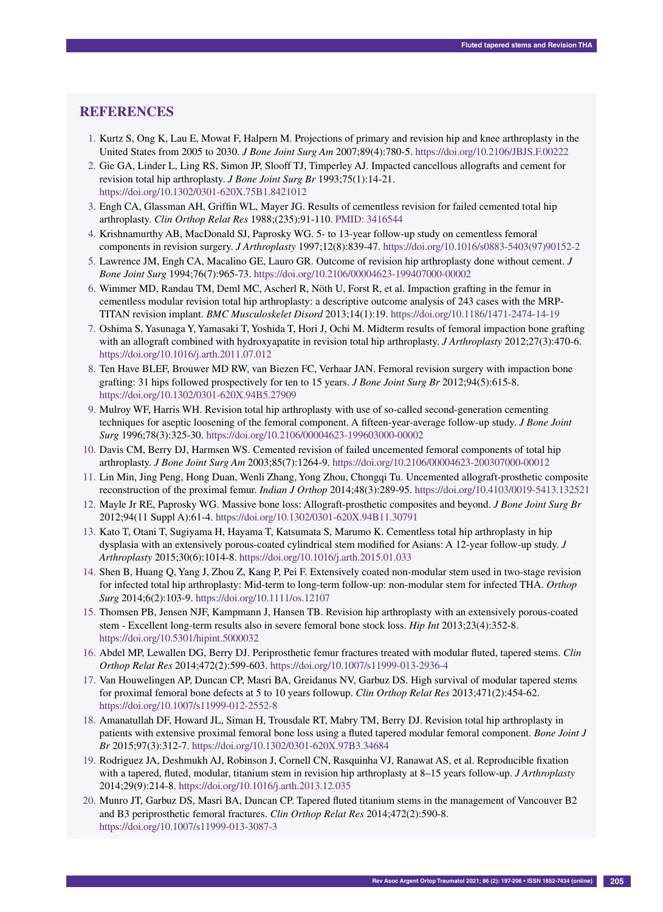# **References**

- 1. Kurtz S, Ong K, Lau E, Mowat F, Halpern M. Projections of primary and revision hip and knee arthroplasty in the United States from 2005 to 2030. *J Bone Joint Surg Am* 2007;89(4):780-5. https://doi.org/10.2106/JBJS.F.00222
- 2. Gie GA, Linder L, Ling RS, Simon JP, Slooff TJ, Timperley AJ. Impacted cancellous allografts and cement for revision total hip arthroplasty. *J Bone Joint Surg Br* 1993;75(1):14-21. https://doi.org/10.1302/0301-620X.75B1.8421012
- 3. Engh CA, Glassman AH, Griffin WL, Mayer JG. Results of cementless revision for failed cemented total hip arthroplasty. *Clin Orthop Relat Res* 1988;(235):91-110. PMID: 3416544
- 4. Krishnamurthy AB, MacDonald SJ, Paprosky WG. 5- to 13-year follow-up study on cementless femoral components in revision surgery. *J Arthroplasty* 1997;12(8):839-47. https://doi.org/10.1016/s0883-5403(97)90152-2
- 5. Lawrence JM, Engh CA, Macalino GE, Lauro GR. Outcome of revision hip arthroplasty done without cement. *J Bone Joint Surg* 1994;76(7):965-73. https://doi.org/10.2106/00004623-199407000-00002
- 6. Wimmer MD, Randau TM, Deml MC, Ascherl R, Nöth U, Forst R, et al. Impaction grafting in the femur in cementless modular revision total hip arthroplasty: a descriptive outcome analysis of 243 cases with the MRP-TITAN revision implant. *BMC Musculoskelet Disord* 2013;14(1):19. https://doi.org/10.1186/1471-2474-14-19
- 7. Oshima S, Yasunaga Y, Yamasaki T, Yoshida T, Hori J, Ochi M. Midterm results of femoral impaction bone grafting with an allograft combined with hydroxyapatite in revision total hip arthroplasty. *J Arthroplasty* 2012;27(3):470-6. https://doi.org/10.1016/j.arth.2011.07.012
- 8. Ten Have BLEF, Brouwer MD RW, van Biezen FC, Verhaar JAN. Femoral revision surgery with impaction bone grafting: 31 hips followed prospectively for ten to 15 years. *J Bone Joint Surg Br* 2012;94(5):615-8. https://doi.org/10.1302/0301-620X.94B5.27909
- 9. Mulroy WF, Harris WH. Revision total hip arthroplasty with use of so-called second-generation cementing techniques for aseptic loosening of the femoral component. A fifteen-year-average follow-up study. *J Bone Joint Surg* 1996;78(3):325-30. https://doi.org/10.2106/00004623-199603000-00002
- 10. Davis CM, Berry DJ, Harmsen WS. Cemented revision of failed uncemented femoral components of total hip arthroplasty. *J Bone Joint Surg Am* 2003;85(7):1264-9. https://doi.org/10.2106/00004623-200307000-00012
- 11. Lin Min, Jing Peng, Hong Duan, Wenli Zhang, Yong Zhou, Chongqi Tu. Uncemented allograft-prosthetic composite reconstruction of the proximal femur. *Indian J Orthop* 2014;48(3):289-95. https://doi.org/10.4103/0019-5413.132521
- 12. Mayle Jr RE, Paprosky WG. Massive bone loss: Allograft-prosthetic composites and beyond. *J Bone Joint Surg Br* 2012;94(11 Suppl A):61-4. https://doi.org/10.1302/0301-620X.94B11.30791
- 13. Kato T, Otani T, Sugiyama H, Hayama T, Katsumata S, Marumo K. Cementless total hip arthroplasty in hip dysplasia with an extensively porous-coated cylindrical stem modified for Asians: A 12-year follow-up study. *J Arthroplasty* 2015;30(6):1014-8. https://doi.org/10.1016/j.arth.2015.01.033
- 14. Shen B, Huang Q, Yang J, Zhou Z, Kang P, Pei F. Extensively coated non-modular stem used in two-stage revision for infected total hip arthroplasty: Mid-term to long-term follow-up: non-modular stem for infected THA. *Orthop Surg* 2014;6(2):103-9. https://doi.org/10.1111/os.12107
- 15. Thomsen PB, Jensen NJF, Kampmann J, Hansen TB. Revision hip arthroplasty with an extensively porous-coated stem - Excellent long-term results also in severe femoral bone stock loss. *Hip Int* 2013;23(4):352-8. https://doi.org/10.5301/hipint.5000032
- 16. Abdel MP, Lewallen DG, Berry DJ. Periprosthetic femur fractures treated with modular fluted, tapered stems. *Clin Orthop Relat Res* 2014;472(2):599-603. https://doi.org/10.1007/s11999-013-2936-4
- 17. Van Houwelingen AP, Duncan CP, Masri BA, Greidanus NV, Garbuz DS. High survival of modular tapered stems for proximal femoral bone defects at 5 to 10 years followup. *Clin Orthop Relat Res* 2013;471(2):454-62. https://doi.org/10.1007/s11999-012-2552-8
- 18. Amanatullah DF, Howard JL, Siman H, Trousdale RT, Mabry TM, Berry DJ. Revision total hip arthroplasty in patients with extensive proximal femoral bone loss using a fluted tapered modular femoral component. *Bone Joint J Br* 2015;97(3):312-7. https://doi.org/10.1302/0301-620X.97B3.34684
- 19. Rodriguez JA, Deshmukh AJ, Robinson J, Cornell CN, Rasquinha VJ, Ranawat AS, et al. Reproducible fixation with a tapered, fluted, modular, titanium stem in revision hip arthroplasty at 8–15 years follow-up. *J Arthroplasty* 2014;29(9):214-8. https://doi.org/10.1016/j.arth.2013.12.035
- 20. Munro JT, Garbuz DS, Masri BA, Duncan CP. Tapered fluted titanium stems in the management of Vancouver B2 and B3 periprosthetic femoral fractures. *Clin Orthop Relat Res* 2014;472(2):590-8. https://doi.org/10.1007/s11999-013-3087-3